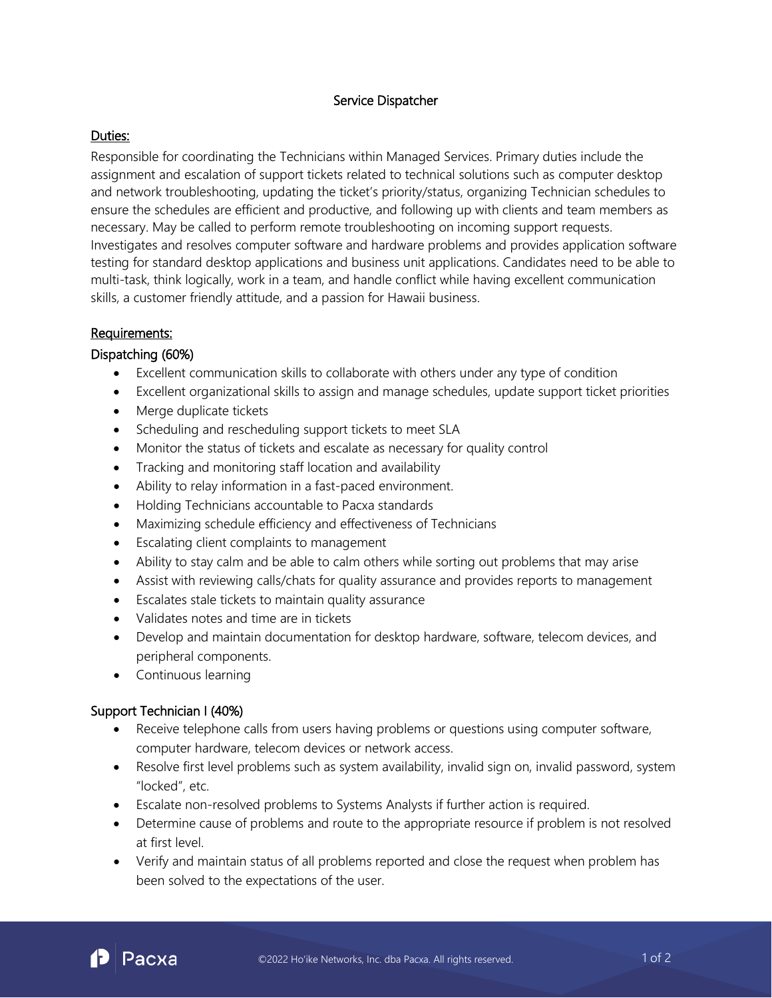## Service Dispatcher

### Duties:

Responsible for coordinating the Technicians within Managed Services. Primary duties include the assignment and escalation of support tickets related to technical solutions such as computer desktop and network troubleshooting, updating the ticket's priority/status, organizing Technician schedules to ensure the schedules are efficient and productive, and following up with clients and team members as necessary. May be called to perform remote troubleshooting on incoming support requests. Investigates and resolves computer software and hardware problems and provides application software testing for standard desktop applications and business unit applications. Candidates need to be able to multi-task, think logically, work in a team, and handle conflict while having excellent communication skills, a customer friendly attitude, and a passion for Hawaii business.

## Requirements:

#### Dispatching (60%)

- Excellent communication skills to collaborate with others under any type of condition
- Excellent organizational skills to assign and manage schedules, update support ticket priorities
- Merge duplicate tickets
- Scheduling and rescheduling support tickets to meet SLA
- Monitor the status of tickets and escalate as necessary for quality control
- Tracking and monitoring staff location and availability
- Ability to relay information in a fast-paced environment.
- Holding Technicians accountable to Pacxa standards
- Maximizing schedule efficiency and effectiveness of Technicians
- Escalating client complaints to management
- Ability to stay calm and be able to calm others while sorting out problems that may arise
- Assist with reviewing calls/chats for quality assurance and provides reports to management
- Escalates stale tickets to maintain quality assurance
- Validates notes and time are in tickets
- Develop and maintain documentation for desktop hardware, software, telecom devices, and peripheral components.
- Continuous learning

# Support Technician I (40%)

- Receive telephone calls from users having problems or questions using computer software, computer hardware, telecom devices or network access.
- Resolve first level problems such as system availability, invalid sign on, invalid password, system "locked", etc.
- Escalate non-resolved problems to Systems Analysts if further action is required.
- Determine cause of problems and route to the appropriate resource if problem is not resolved at first level.
- Verify and maintain status of all problems reported and close the request when problem has been solved to the expectations of the user.